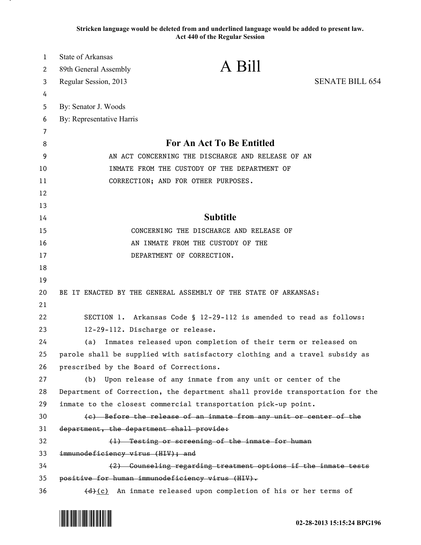**Stricken language would be deleted from and underlined language would be added to present law. Act 440 of the Regular Session**

| $\mathbf{1}$ | <b>State of Arkansas</b>                  |                                                                               |                        |
|--------------|-------------------------------------------|-------------------------------------------------------------------------------|------------------------|
| 2            | 89th General Assembly                     | A Bill                                                                        |                        |
| 3            | Regular Session, 2013                     |                                                                               | <b>SENATE BILL 654</b> |
| 4            |                                           |                                                                               |                        |
| 5            | By: Senator J. Woods                      |                                                                               |                        |
| 6            | By: Representative Harris                 |                                                                               |                        |
| 7            |                                           |                                                                               |                        |
| 8            |                                           | For An Act To Be Entitled                                                     |                        |
| 9            |                                           | AN ACT CONCERNING THE DISCHARGE AND RELEASE OF AN                             |                        |
| 10           |                                           | INMATE FROM THE CUSTODY OF THE DEPARTMENT OF                                  |                        |
| 11           |                                           | CORRECTION; AND FOR OTHER PURPOSES.                                           |                        |
| 12           |                                           |                                                                               |                        |
| 13           |                                           |                                                                               |                        |
| 14           |                                           | <b>Subtitle</b>                                                               |                        |
| 15           |                                           | CONCERNING THE DISCHARGE AND RELEASE OF                                       |                        |
| 16           |                                           | AN INMATE FROM THE CUSTODY OF THE                                             |                        |
| 17           |                                           | DEPARTMENT OF CORRECTION.                                                     |                        |
| 18           |                                           |                                                                               |                        |
| 19           |                                           |                                                                               |                        |
| 20           |                                           | BE IT ENACTED BY THE GENERAL ASSEMBLY OF THE STATE OF ARKANSAS:               |                        |
| 21           |                                           |                                                                               |                        |
| 22           |                                           | SECTION 1. Arkansas Code § 12-29-112 is amended to read as follows:           |                        |
| 23           |                                           | 12-29-112. Discharge or release.                                              |                        |
| 24           | (a)                                       | Inmates released upon completion of their term or released on                 |                        |
| 25           |                                           | parole shall be supplied with satisfactory clothing and a travel subsidy as   |                        |
| 26           | prescribed by the Board of Corrections.   |                                                                               |                        |
| 27           | (b)                                       | Upon release of any inmate from any unit or center of the                     |                        |
| 28           |                                           | Department of Correction, the department shall provide transportation for the |                        |
| 29           |                                           | inmate to the closest commercial transportation pick-up point.                |                        |
| 30           |                                           | (e) Before the release of an inmate from any unit or center of the            |                        |
| 31           | department, the department shall provide: |                                                                               |                        |
| 32           |                                           | (1) Testing or screening of the inmate for human                              |                        |
| 33           | immunodeficiency virus (HIV); and         |                                                                               |                        |
| 34           |                                           | (2) Counseling regarding treatment options if the inmate tests                |                        |
| 35           |                                           | positive for human immunodeficiency virus (HIV).                              |                        |
| 36           |                                           | (d)(c) An inmate released upon completion of his or her terms of              |                        |